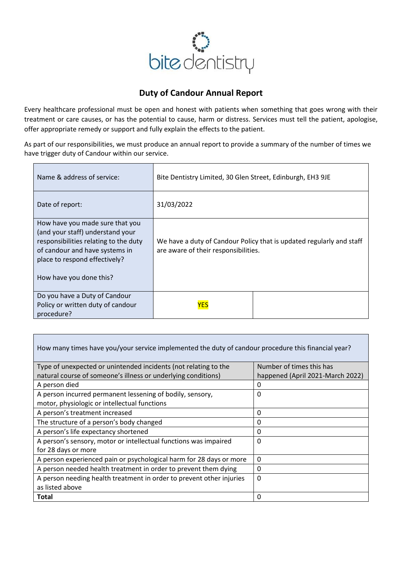

## **Duty of Candour Annual Report**

Every healthcare professional must be open and honest with patients when something that goes wrong with their treatment or care causes, or has the potential to cause, harm or distress. Services must tell the patient, apologise, offer appropriate remedy or support and fully explain the effects to the patient.

As part of our responsibilities, we must produce an annual report to provide a summary of the number of times we have trigger duty of Candour within our service.

| Name & address of service:                                                                                                                                                                                 | Bite Dentistry Limited, 30 Glen Street, Edinburgh, EH3 9JE                                                   |  |
|------------------------------------------------------------------------------------------------------------------------------------------------------------------------------------------------------------|--------------------------------------------------------------------------------------------------------------|--|
| Date of report:                                                                                                                                                                                            | 31/03/2022                                                                                                   |  |
| How have you made sure that you<br>(and your staff) understand your<br>responsibilities relating to the duty<br>of candour and have systems in<br>place to respond effectively?<br>How have you done this? | We have a duty of Candour Policy that is updated regularly and staff<br>are aware of their responsibilities. |  |
| Do you have a Duty of Candour<br>Policy or written duty of candour<br>procedure?                                                                                                                           | <b>YES</b>                                                                                                   |  |

| How many times have you/your service implemented the duty of candour procedure this financial year? |                                  |  |
|-----------------------------------------------------------------------------------------------------|----------------------------------|--|
| Type of unexpected or unintended incidents (not relating to the                                     | Number of times this has         |  |
| natural course of someone's illness or underlying conditions)                                       | happened (April 2021-March 2022) |  |
| A person died                                                                                       | 0                                |  |
| A person incurred permanent lessening of bodily, sensory,                                           | 0                                |  |
| motor, physiologic or intellectual functions                                                        |                                  |  |
| A person's treatment increased                                                                      | 0                                |  |
| The structure of a person's body changed                                                            | 0                                |  |
| A person's life expectancy shortened                                                                | 0                                |  |
| A person's sensory, motor or intellectual functions was impaired                                    | 0                                |  |
| for 28 days or more                                                                                 |                                  |  |
| A person experienced pain or psychological harm for 28 days or more                                 | 0                                |  |
| A person needed health treatment in order to prevent them dying                                     | 0                                |  |
| A person needing health treatment in order to prevent other injuries                                | 0                                |  |
| as listed above                                                                                     |                                  |  |
| <b>Total</b>                                                                                        | 0                                |  |

Г